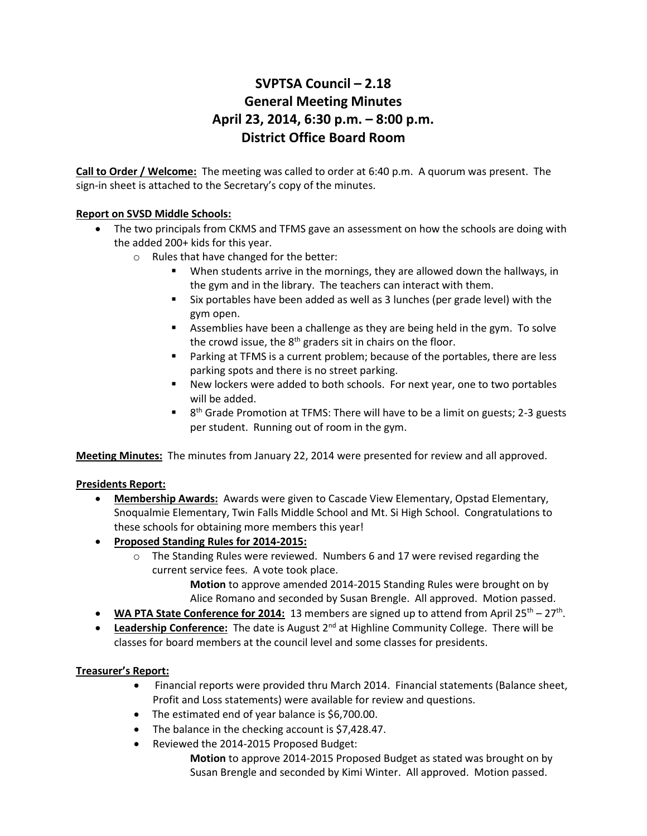# **SVPTSA Council – 2.18 General Meeting Minutes April 23, 2014, 6:30 p.m. – 8:00 p.m. District Office Board Room**

**Call to Order / Welcome:** The meeting was called to order at 6:40 p.m. A quorum was present. The sign-in sheet is attached to the Secretary's copy of the minutes.

## **Report on SVSD Middle Schools:**

- The two principals from CKMS and TFMS gave an assessment on how the schools are doing with the added 200+ kids for this year.
	- o Rules that have changed for the better:
		- When students arrive in the mornings, they are allowed down the hallways, in the gym and in the library. The teachers can interact with them.
		- Six portables have been added as well as 3 lunches (per grade level) with the gym open.
		- Assemblies have been a challenge as they are being held in the gym. To solve the crowd issue, the  $8<sup>th</sup>$  graders sit in chairs on the floor.
		- Parking at TFMS is a current problem; because of the portables, there are less parking spots and there is no street parking.
		- New lockers were added to both schools. For next year, one to two portables will be added.
		- $\blacksquare$  8<sup>th</sup> Grade Promotion at TFMS: There will have to be a limit on guests; 2-3 guests per student. Running out of room in the gym.

**Meeting Minutes:** The minutes from January 22, 2014 were presented for review and all approved.

## **Presidents Report:**

- **Membership Awards:** Awards were given to Cascade View Elementary, Opstad Elementary, Snoqualmie Elementary, Twin Falls Middle School and Mt. Si High School. Congratulations to these schools for obtaining more members this year!
- **Proposed Standing Rules for 2014-2015:**
	- o The Standing Rules were reviewed. Numbers 6 and 17 were revised regarding the current service fees. A vote took place.

**Motion** to approve amended 2014-2015 Standing Rules were brought on by Alice Romano and seconded by Susan Brengle. All approved. Motion passed.

- WA PTA State Conference for 2014: 13 members are signed up to attend from April 25<sup>th</sup> 27<sup>th</sup>.
- **•** Leadership Conference: The date is August 2<sup>nd</sup> at Highline Community College. There will be classes for board members at the council level and some classes for presidents.

## **Treasurer's Report:**

- Financial reports were provided thru March 2014. Financial statements (Balance sheet, Profit and Loss statements) were available for review and questions.
- The estimated end of year balance is \$6,700.00.
- The balance in the checking account is \$7,428.47.
- Reviewed the 2014-2015 Proposed Budget:

**Motion** to approve 2014-2015 Proposed Budget as stated was brought on by Susan Brengle and seconded by Kimi Winter. All approved. Motion passed.